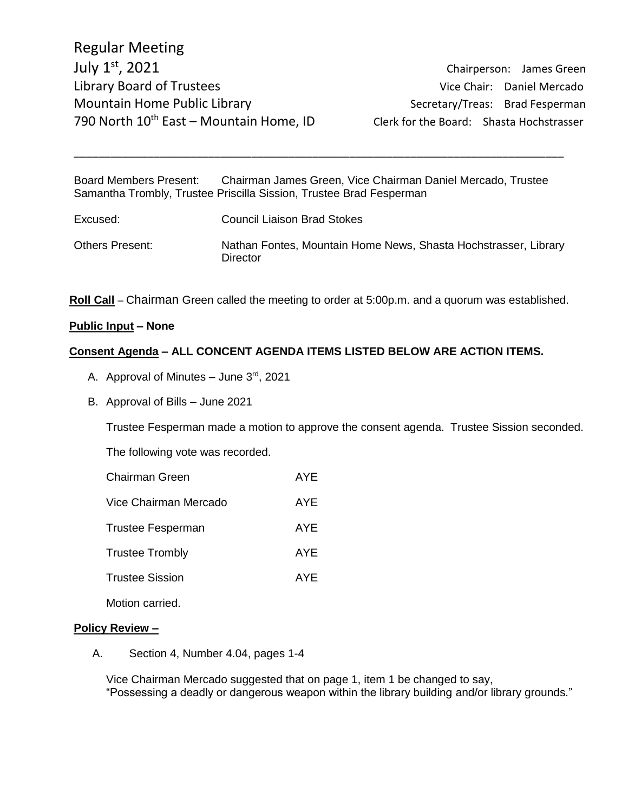Chairperson: James Green

Board Members Present: Chairman James Green, Vice Chairman Daniel Mercado, Trustee Samantha Trombly, Trustee Priscilla Sission, Trustee Brad Fesperman

\_\_\_\_\_\_\_\_\_\_\_\_\_\_\_\_\_\_\_\_\_\_\_\_\_\_\_\_\_\_\_\_\_\_\_\_\_\_\_\_\_\_\_\_\_\_\_\_\_\_\_\_\_\_\_\_\_\_\_\_\_\_\_\_\_\_\_\_\_\_\_\_\_\_\_\_\_\_\_\_

| Excused:        | <b>Council Liaison Brad Stokes</b>                                          |
|-----------------|-----------------------------------------------------------------------------|
| Others Present: | Nathan Fontes, Mountain Home News, Shasta Hochstrasser, Library<br>Director |

**Roll Call** – Chairman Green called the meeting to order at 5:00p.m. and a quorum was established.

### **Public Input – None**

### **Consent Agenda – ALL CONCENT AGENDA ITEMS LISTED BELOW ARE ACTION ITEMS.**

- A. Approval of Minutes June 3rd, 2021
- B. Approval of Bills June 2021

Trustee Fesperman made a motion to approve the consent agenda. Trustee Sission seconded.

The following vote was recorded.

- Chairman Green **AYE**
- Vice Chairman Mercado AYE
- Trustee Fesperman AYE
- Trustee Trombly **AYE**
- Trustee Sission AYE

Motion carried.

#### **Policy Review –**

A. Section 4, Number 4.04, pages 1-4

Vice Chairman Mercado suggested that on page 1, item 1 be changed to say, "Possessing a deadly or dangerous weapon within the library building and/or library grounds."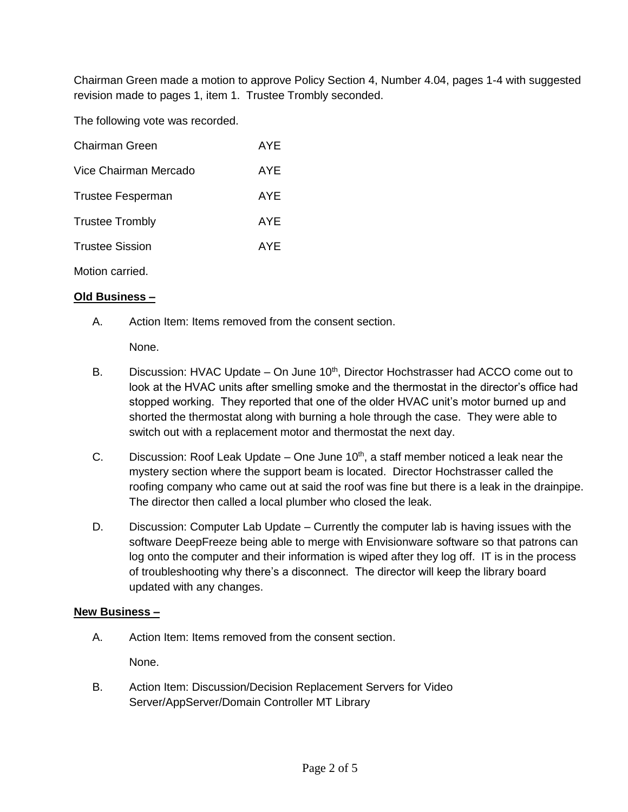Chairman Green made a motion to approve Policy Section 4, Number 4.04, pages 1-4 with suggested revision made to pages 1, item 1. Trustee Trombly seconded.

The following vote was recorded.

| <b>Chairman Green</b>    | AYE |
|--------------------------|-----|
| Vice Chairman Mercado    | AYE |
| <b>Trustee Fesperman</b> | AYE |
| <b>Trustee Trombly</b>   | AYE |
| <b>Trustee Sission</b>   | AYE |
| Motion carried.          |     |

## **Old Business –**

A. Action Item: Items removed from the consent section.

None.

- B. Discussion: HVAC Update On June 10<sup>th</sup>, Director Hochstrasser had ACCO come out to look at the HVAC units after smelling smoke and the thermostat in the director's office had stopped working. They reported that one of the older HVAC unit's motor burned up and shorted the thermostat along with burning a hole through the case. They were able to switch out with a replacement motor and thermostat the next day.
- C. Discussion: Roof Leak Update One June  $10<sup>th</sup>$ , a staff member noticed a leak near the mystery section where the support beam is located. Director Hochstrasser called the roofing company who came out at said the roof was fine but there is a leak in the drainpipe. The director then called a local plumber who closed the leak.
- D. Discussion: Computer Lab Update Currently the computer lab is having issues with the software DeepFreeze being able to merge with Envisionware software so that patrons can log onto the computer and their information is wiped after they log off. IT is in the process of troubleshooting why there's a disconnect. The director will keep the library board updated with any changes.

## **New Business –**

A. Action Item: Items removed from the consent section.

None.

B. Action Item: Discussion/Decision Replacement Servers for Video Server/AppServer/Domain Controller MT Library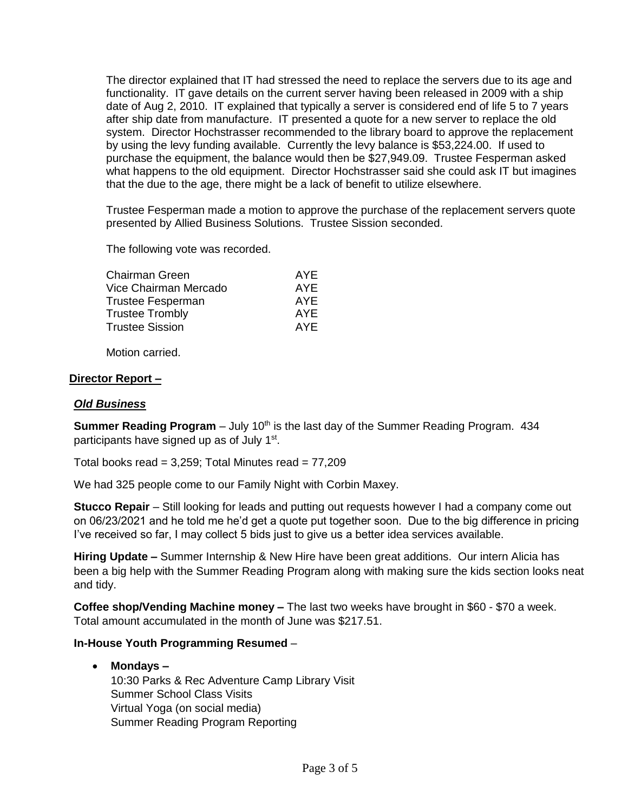The director explained that IT had stressed the need to replace the servers due to its age and functionality. IT gave details on the current server having been released in 2009 with a ship date of Aug 2, 2010. IT explained that typically a server is considered end of life 5 to 7 years after ship date from manufacture. IT presented a quote for a new server to replace the old system. Director Hochstrasser recommended to the library board to approve the replacement by using the levy funding available. Currently the levy balance is \$53,224.00. If used to purchase the equipment, the balance would then be \$27,949.09. Trustee Fesperman asked what happens to the old equipment. Director Hochstrasser said she could ask IT but imagines that the due to the age, there might be a lack of benefit to utilize elsewhere.

Trustee Fesperman made a motion to approve the purchase of the replacement servers quote presented by Allied Business Solutions. Trustee Sission seconded.

The following vote was recorded.

| Chairman Green         | AYE |
|------------------------|-----|
| Vice Chairman Mercado  | AYE |
| Trustee Fesperman      | AYE |
| <b>Trustee Trombly</b> | AYE |
| <b>Trustee Sission</b> | AYF |

Motion carried.

### **Director Report –**

### *Old Business*

**Summer Reading Program** – July 10<sup>th</sup> is the last day of the Summer Reading Program. 434 participants have signed up as of July 1<sup>st</sup>.

Total books read =  $3.259$ ; Total Minutes read =  $77.209$ 

We had 325 people come to our Family Night with Corbin Maxey.

**Stucco Repair** – Still looking for leads and putting out requests however I had a company come out on 06/23/2021 and he told me he'd get a quote put together soon. Due to the big difference in pricing I've received so far, I may collect 5 bids just to give us a better idea services available.

**Hiring Update –** Summer Internship & New Hire have been great additions. Our intern Alicia has been a big help with the Summer Reading Program along with making sure the kids section looks neat and tidy.

**Coffee shop/Vending Machine money –** The last two weeks have brought in \$60 - \$70 a week. Total amount accumulated in the month of June was \$217.51.

## **In-House Youth Programming Resumed** –

### **Mondays –**

10:30 Parks & Rec Adventure Camp Library Visit Summer School Class Visits Virtual Yoga (on social media) Summer Reading Program Reporting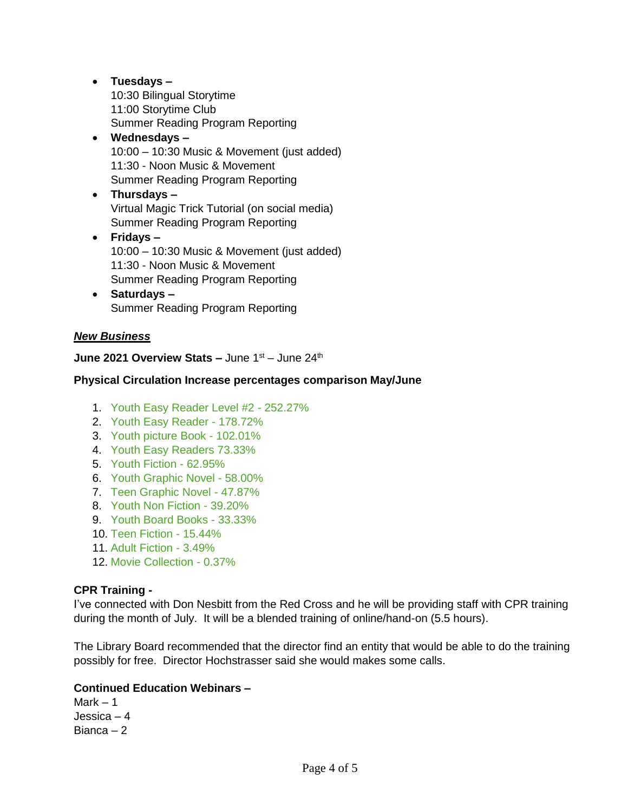# **Tuesdays –** 10:30 Bilingual Storytime 11:00 Storytime Club Summer Reading Program Reporting **Wednesdays –**

- 10:00 10:30 Music & Movement (just added) 11:30 - Noon Music & Movement Summer Reading Program Reporting
- **Thursdays –** Virtual Magic Trick Tutorial (on social media) Summer Reading Program Reporting
- **Fridays –** 10:00 – 10:30 Music & Movement (just added) 11:30 - Noon Music & Movement Summer Reading Program Reporting
- **Saturdays –** Summer Reading Program Reporting

# *New Business*

# **June 2021 Overview Stats –** June 1<sup>st</sup> – June 24<sup>th</sup>

## **Physical Circulation Increase percentages comparison May/June**

- 1. Youth Easy Reader Level #2 252.27%
- 2. Youth Easy Reader 178.72%
- 3. Youth picture Book 102.01%
- 4. Youth Easy Readers 73.33%
- 5. Youth Fiction 62.95%
- 6. Youth Graphic Novel 58.00%
- 7. Teen Graphic Novel 47.87%
- 8. Youth Non Fiction 39.20%
- 9. Youth Board Books 33.33%
- 10. Teen Fiction 15.44%
- 11. Adult Fiction 3.49%
- 12. Movie Collection 0.37%

## **CPR Training -**

I've connected with Don Nesbitt from the Red Cross and he will be providing staff with CPR training during the month of July. It will be a blended training of online/hand-on (5.5 hours).

The Library Board recommended that the director find an entity that would be able to do the training possibly for free. Director Hochstrasser said she would makes some calls.

## **Continued Education Webinars –**

 $Mark - 1$ Jessica – 4 Bianca – 2